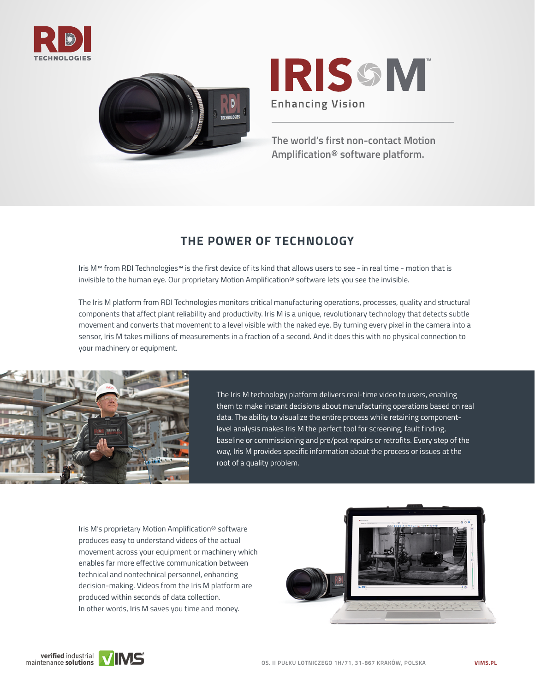





**The world's first non-contact Motion Amplification® software platform.**

# **THE POWER OF TECHNOLOGY**

Iris M™ from RDI Technologies™ is the first device of its kind that allows users to see - in real time - motion that is invisible to the human eye. Our proprietary Motion Amplification® software lets you see the invisible.

The Iris M platform from RDI Technologies monitors critical manufacturing operations, processes, quality and structural components that affect plant reliability and productivity. Iris M is a unique, revolutionary technology that detects subtle movement and converts that movement to a level visible with the naked eye. By turning every pixel in the camera into a sensor, Iris M takes millions of measurements in a fraction of a second. And it does this with no physical connection to your machinery or equipment.



The Iris M technology platform delivers real-time video to users, enabling them to make instant decisions about manufacturing operations based on real data. The ability to visualize the entire process while retaining componentlevel analysis makes Iris M the perfect tool for screening, fault finding, baseline or commissioning and pre/post repairs or retrofits. Every step of the way, Iris M provides specific information about the process or issues at the root of a quality problem.

Iris M's proprietary Motion Amplification® software produces easy to understand videos of the actual movement across your equipment or machinery which enables far more effective communication between technical and nontechnical personnel, enhancing decision-making. Videos from the Iris M platform are produced within seconds of data collection. In other words, Iris M saves you time and money.